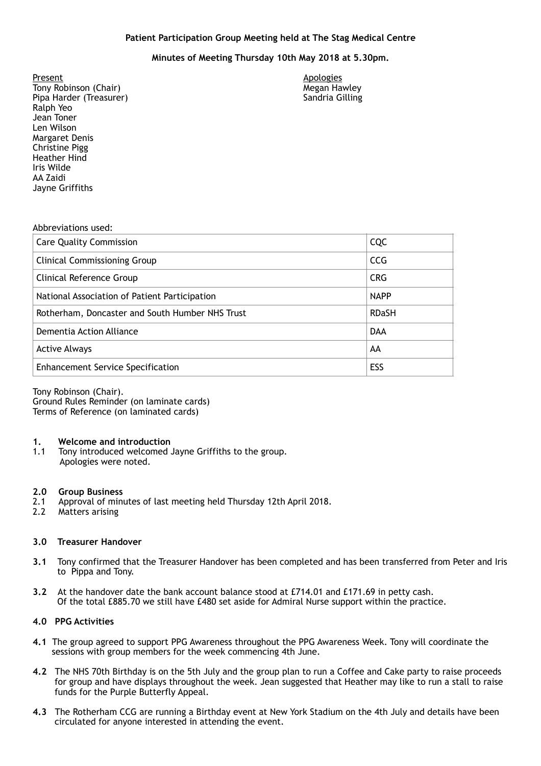# **Minutes of Meeting Thursday 10th May 2018 at 5.30pm.**

Tony Robinson (Chair) Megan Hawley (Chair) Megan Hawley Pipa Harder (Treasurer) Sandria Gilling Ralph Yeo **Margaret Denis** Present<br>
Tony Robinson (Chair)<br>
Tony Robinson (Chair) Jean Toner Len Wilson Christine Pigg Heather Hind Iris Wilde AA Zaidi Jayne Griffiths

### Abbreviations used:

| <b>Care Quality Commission</b>                  | CQC          |
|-------------------------------------------------|--------------|
| <b>Clinical Commissioning Group</b>             | <b>CCG</b>   |
| Clinical Reference Group                        | <b>CRG</b>   |
| National Association of Patient Participation   | <b>NAPP</b>  |
| Rotherham, Doncaster and South Humber NHS Trust | <b>RDaSH</b> |
| Dementia Action Alliance                        | <b>DAA</b>   |
| <b>Active Always</b>                            | AA           |
| <b>Enhancement Service Specification</b>        | ESS          |

 Tony Robinson (Chair). Terms of Reference (on laminated cards) Ground Rules Reminder (on laminate cards)

### **1. Welcome and introduction**

 1.1 Tony introduced welcomed Jayne Griffiths to the group. Apologies were noted.

### **2.0 Group Business**

- 2.1 Approval of minutes of last meeting held Thursday 12th April 2018.
- 2.2 Matters arising

## **3.0 Treasurer Handover**

- **3.1** Tony confirmed that the Treasurer Handover has been completed and has been transferred from Peter and Iris to Pippa and Tony.
- **3.2** At the handover date the bank account balance stood at £714.01 and £171.69 in petty cash. Of the total £885.70 we still have £480 set aside for Admiral Nurse support within the practice.

# **4.0 PPG Activities**

- **4.1** The group agreed to support PPG Awareness throughout the PPG Awareness Week. Tony will coordinate the sessions with group members for the week commencing 4th June.
- **4.2** The NHS 70th Birthday is on the 5th July and the group plan to run a Coffee and Cake party to raise proceeds for group and have displays throughout the week. Jean suggested that Heather may like to run a stall to raise funds for the Purple Butterfly Appeal.
- **4.3** The Rotherham CCG are running a Birthday event at New York Stadium on the 4th July and details have been circulated for anyone interested in attending the event.